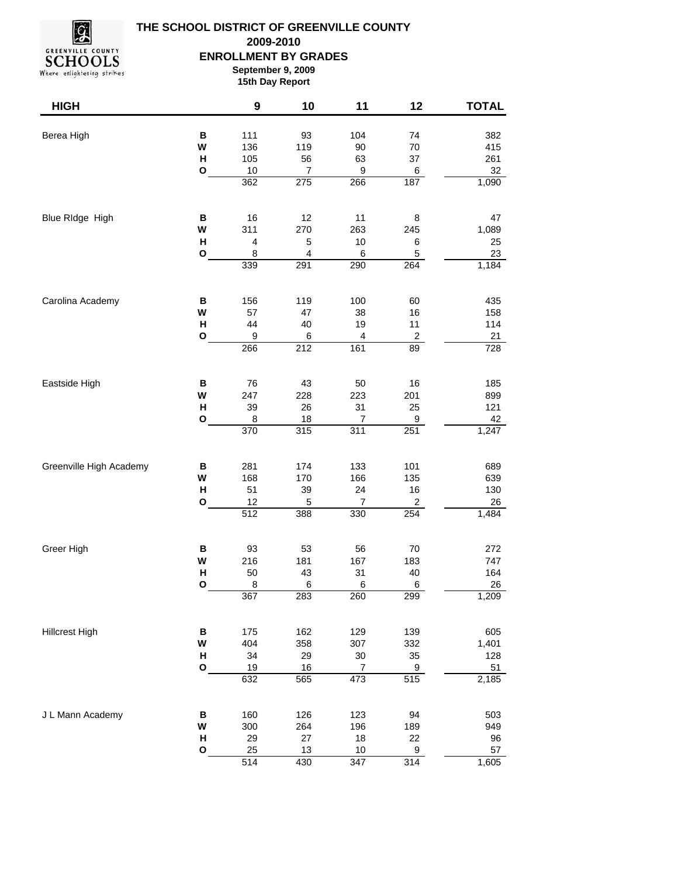

## **THE SCHOOL DISTRICT OF GREENVILLE COUNTY ENROLLMENT BY GRADES September 9, 2009 15th Day Report 2009-2010**

Where enlightening strikes

| <b>HIGH</b>             |                   | $\boldsymbol{9}$       | 10                           | 11                       | 12             | <b>TOTAL</b> |
|-------------------------|-------------------|------------------------|------------------------------|--------------------------|----------------|--------------|
| Berea High              | В                 | 111                    | 93                           | 104                      | 74             | 382          |
|                         | W                 | 136                    | 119                          | 90                       | 70             | 415          |
|                         | н                 | 105                    | 56                           | 63                       | 37             | 261          |
|                         | $\mathbf{o}$      | 10<br>362              | $\overline{7}$<br>275        | 9<br>266                 | 6<br>187       | 32<br>1,090  |
|                         |                   |                        |                              |                          |                |              |
| Blue RIdge High         | В                 | 16                     | 12                           | 11                       | 8              | 47           |
|                         | W                 | 311                    | 270                          | 263                      | 245            | 1,089        |
|                         | Н<br>$\mathbf{o}$ | 4                      | 5<br>$\overline{\mathbf{4}}$ | $10$                     | 6              | 25           |
|                         |                   | 8<br>339               | 291                          | $\,6$<br>290             | 5<br>264       | 23<br>1,184  |
|                         | B                 | 156                    | 119                          | 100                      | 60             | 435          |
| Carolina Academy        | W                 | 57                     | 47                           | 38                       | 16             | 158          |
|                         | н                 | 44                     | 40                           | 19                       | 11             | 114          |
|                         | O                 | $\boldsymbol{9}$       | 6                            | 4                        | $\overline{2}$ | 21           |
|                         |                   | 266                    | 212                          | 161                      | 89             | 728          |
| Eastside High           | В                 | 76                     | 43                           | 50                       | 16             | 185          |
|                         | W                 | 247                    | 228                          | 223                      | 201            | 899          |
|                         | н                 | 39                     | 26                           | 31                       | 25             | 121          |
|                         | O                 | 8<br>370               | 18<br>315                    | 7<br>$\overline{311}$    | 9<br>251       | 42<br>1,247  |
| Greenville High Academy | B                 | 281                    | 174                          | 133                      | 101            | 689          |
|                         | W                 | 168                    | 170                          | 166                      | 135            | 639          |
|                         | н                 | 51                     | 39                           | 24                       | 16             | 130          |
|                         | O                 | 12                     | 5                            | 7                        | $\overline{c}$ | 26           |
|                         |                   | 512                    | 388                          | 330                      | 254            | 1,484        |
| Greer High              | B                 | 93                     | 53                           | 56                       | 70             | 272          |
|                         | W                 | 216                    | 181                          | 167                      | 183            | 747          |
|                         | Н                 | 50<br>8                | 43<br>6                      | 31                       | 40             | 164          |
|                         | O                 | 367                    | 283                          | 6<br>260                 | 6<br>299       | 26<br>1,209  |
| <b>Hillcrest High</b>   | $\, {\bf B}$      | 175                    | 162                          | 129                      | 139            | 605          |
|                         | W                 | 404                    | 358                          | 307                      | 332            | 1,401        |
|                         | н                 | 34                     | 29                           | $30\,$                   | $35\,$         | 128          |
|                         | O                 | $19$                   | 16                           | $\boldsymbol{7}$         | 9              | 51           |
|                         |                   | 632                    | 565                          | 473                      | 515            | 2,185        |
| J L Mann Academy        | $\, {\bf B}$      | 160                    | 126                          | 123                      | 94             | 503          |
|                         | W                 | 300                    | 264                          | 196                      | 189            | 949          |
|                         | н                 | 29                     | 27                           | 18                       | 22             | 96           |
|                         | O                 | 25<br>$\overline{514}$ | 13<br>430                    | $10$<br>$\overline{347}$ | 9<br>314       | 57<br>1,605  |